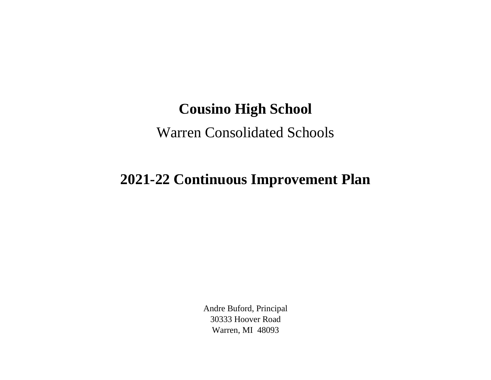## **Cousino High School**

## Warren Consolidated Schools

## **2021-22 Continuous Improvement Plan**

Andre Buford, Principal 30333 Hoover Road Warren, MI 48093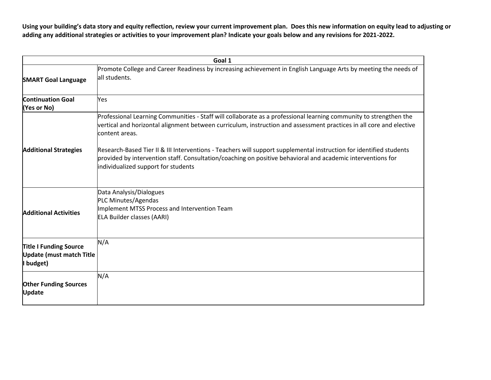**Using your building's data story and equity reflection, review your current improvement plan. Does this new information on equity lead to adjusting or adding any additional strategies or activities to your improvement plan? Indicate your goals below and any revisions for 2021-2022.**

|                                                                        | Goal 1                                                                                                                                                                                                                                                                    |
|------------------------------------------------------------------------|---------------------------------------------------------------------------------------------------------------------------------------------------------------------------------------------------------------------------------------------------------------------------|
| <b>SMART Goal Language</b>                                             | Promote College and Career Readiness by increasing achievement in English Language Arts by meeting the needs of<br>all students.                                                                                                                                          |
| <b>Continuation Goal</b><br>(Yes or No)                                | Yes                                                                                                                                                                                                                                                                       |
|                                                                        | Professional Learning Communities - Staff will collaborate as a professional learning community to strengthen the<br>vertical and horizontal alignment between curriculum, instruction and assessment practices in all core and elective<br>content areas.                |
| <b>Additional Strategies</b>                                           | Research-Based Tier II & III Interventions - Teachers will support supplemental instruction for identified students<br>provided by intervention staff. Consultation/coaching on positive behavioral and academic interventions for<br>individualized support for students |
| <b>Additional Activities</b>                                           | Data Analysis/Dialogues<br>PLC Minutes/Agendas<br>Implement MTSS Process and Intervention Team<br>ELA Builder classes (AARI)                                                                                                                                              |
| Title I Funding Source<br><b>Update (must match Title</b><br>I budget) | N/A                                                                                                                                                                                                                                                                       |
| <b>Other Funding Sources</b><br><b>Update</b>                          | N/A                                                                                                                                                                                                                                                                       |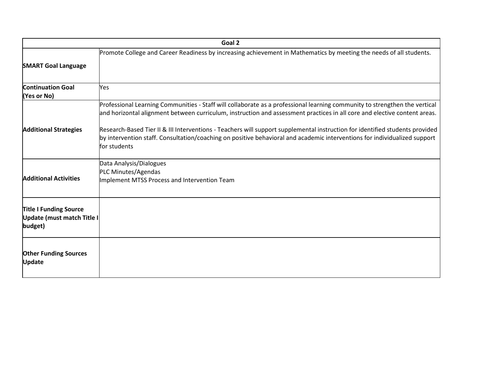| Goal 2                                                                 |                                                                                                                                                                                                                                                                           |  |
|------------------------------------------------------------------------|---------------------------------------------------------------------------------------------------------------------------------------------------------------------------------------------------------------------------------------------------------------------------|--|
| <b>SMART Goal Language</b>                                             | Promote College and Career Readiness by increasing achievement in Mathematics by meeting the needs of all students.                                                                                                                                                       |  |
| <b>Continuation Goal</b><br>(Yes or No)                                | Yes                                                                                                                                                                                                                                                                       |  |
|                                                                        | Professional Learning Communities - Staff will collaborate as a professional learning community to strengthen the vertical<br>and horizontal alignment between curriculum, instruction and assessment practices in all core and elective content areas.                   |  |
| <b>Additional Strategies</b>                                           | Research-Based Tier II & III Interventions - Teachers will support supplemental instruction for identified students provided<br>by intervention staff. Consultation/coaching on positive behavioral and academic interventions for individualized support<br>for students |  |
| <b>Additional Activities</b>                                           | Data Analysis/Dialogues<br>PLC Minutes/Agendas<br>Implement MTSS Process and Intervention Team                                                                                                                                                                            |  |
| <b>Title I Funding Source</b><br>Update (must match Title I<br>budget) |                                                                                                                                                                                                                                                                           |  |
| <b>Other Funding Sources</b><br><b>Update</b>                          |                                                                                                                                                                                                                                                                           |  |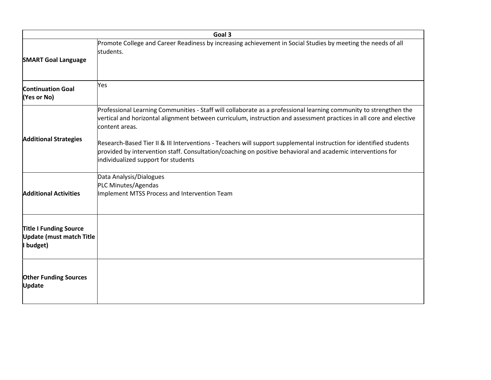|                                                                               | Goal 3                                                                                                                                                                                                                                                                    |  |  |
|-------------------------------------------------------------------------------|---------------------------------------------------------------------------------------------------------------------------------------------------------------------------------------------------------------------------------------------------------------------------|--|--|
| <b>SMART Goal Language</b>                                                    | Promote College and Career Readiness by increasing achievement in Social Studies by meeting the needs of all<br>students.                                                                                                                                                 |  |  |
| <b>Continuation Goal</b><br>(Yes or No)                                       | Yes                                                                                                                                                                                                                                                                       |  |  |
| <b>Additional Strategies</b>                                                  | Professional Learning Communities - Staff will collaborate as a professional learning community to strengthen the<br>vertical and horizontal alignment between curriculum, instruction and assessment practices in all core and elective<br>content areas.                |  |  |
|                                                                               | Research-Based Tier II & III Interventions - Teachers will support supplemental instruction for identified students<br>provided by intervention staff. Consultation/coaching on positive behavioral and academic interventions for<br>individualized support for students |  |  |
| <b>Additional Activities</b>                                                  | Data Analysis/Dialogues<br>PLC Minutes/Agendas<br>Implement MTSS Process and Intervention Team                                                                                                                                                                            |  |  |
| <b>Title I Funding Source</b><br><b>Update (must match Title</b><br>I budget) |                                                                                                                                                                                                                                                                           |  |  |
| <b>Other Funding Sources</b><br><b>Update</b>                                 |                                                                                                                                                                                                                                                                           |  |  |